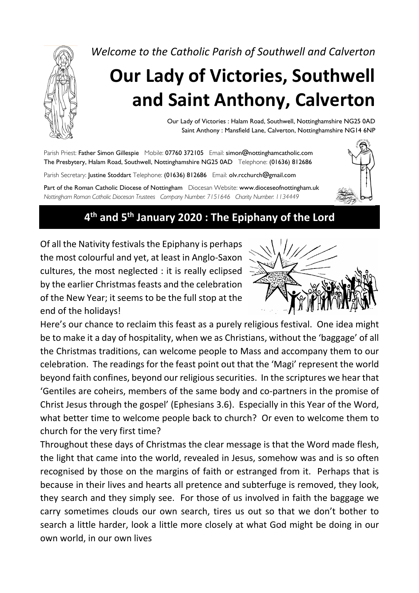

*Welcome to the Catholic Parish of Southwell and Calverton*

# **Our Lady of Victories, Southwell and Saint Anthony, Calverton**

Our Lady of Victories : Halam Road, Southwell, Nottinghamshire NG25 0AD Saint Anthony : Mansfield Lane, Calverton, Nottinghamshire NG14 6NP

Parish Priest: Father Simon Gillespie Mobile: 07760 372105 Email: simon@nottinghamcatholic.com The Presbytery, Halam Road, Southwell, Nottinghamshire NG25 0AD Telephone: (01636) 812686 Parish Secretary: Justine Stoddart Telephone: (01636) 812686 Email: olv.rcchurch@gmail.com Part of the Roman Catholic Diocese of Nottingham Diocesan Website: www.dioceseofnottingham.uk *Nottingham Roman Catholic Diocesan Trustees Company Number: 7151646 Charity Number: 1134449*



# **4th and 5th January 2020 : The Epiphany of the Lord**

Of all the Nativity festivals the Epiphany is perhaps the most colourful and yet, at least in Anglo-Saxon cultures, the most neglected : it is really eclipsed by the earlier Christmas feasts and the celebration of the New Year; it seems to be the full stop at the end of the holidays!



Here's our chance to reclaim this feast as a purely religious festival. One idea might be to make it a day of hospitality, when we as Christians, without the 'baggage' of all the Christmas traditions, can welcome people to Mass and accompany them to our celebration. The readings for the feast point out that the 'Magi' represent the world beyond faith confines, beyond our religious securities. In the scriptures we hear that 'Gentiles are coheirs, members of the same body and co-partners in the promise of Christ Jesus through the gospel' (Ephesians 3.6). Especially in this Year of the Word, what better time to welcome people back to church? Or even to welcome them to church for the very first time?

Throughout these days of Christmas the clear message is that the Word made flesh, the light that came into the world, revealed in Jesus, somehow was and is so often recognised by those on the margins of faith or estranged from it. Perhaps that is because in their lives and hearts all pretence and subterfuge is removed, they look, they search and they simply see. For those of us involved in faith the baggage we carry sometimes clouds our own search, tires us out so that we don't bother to search a little harder, look a little more closely at what God might be doing in our own world, in our own lives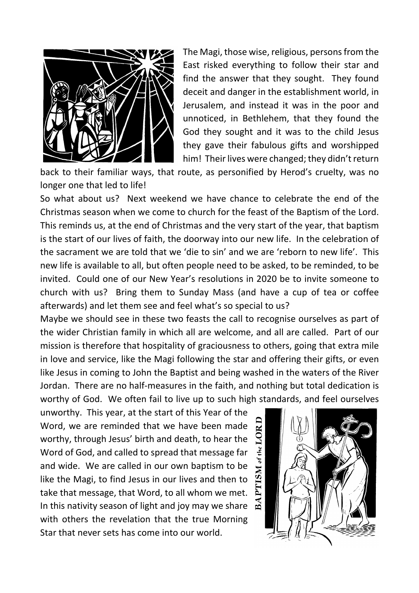

The Magi, those wise, religious, persons from the East risked everything to follow their star and find the answer that they sought. They found deceit and danger in the establishment world, in Jerusalem, and instead it was in the poor and unnoticed, in Bethlehem, that they found the God they sought and it was to the child Jesus they gave their fabulous gifts and worshipped him! Their lives were changed; they didn't return

back to their familiar ways, that route, as personified by Herod's cruelty, was no longer one that led to life!

So what about us? Next weekend we have chance to celebrate the end of the Christmas season when we come to church for the feast of the Baptism of the Lord. This reminds us, at the end of Christmas and the very start of the year, that baptism is the start of our lives of faith, the doorway into our new life. In the celebration of the sacrament we are told that we 'die to sin' and we are 'reborn to new life'. This new life is available to all, but often people need to be asked, to be reminded, to be invited. Could one of our New Year's resolutions in 2020 be to invite someone to church with us? Bring them to Sunday Mass (and have a cup of tea or coffee afterwards) and let them see and feel what's so special to us?

Maybe we should see in these two feasts the call to recognise ourselves as part of the wider Christian family in which all are welcome, and all are called. Part of our mission is therefore that hospitality of graciousness to others, going that extra mile in love and service, like the Magi following the star and offering their gifts, or even like Jesus in coming to John the Baptist and being washed in the waters of the River Jordan. There are no half-measures in the faith, and nothing but total dedication is worthy of God. We often fail to live up to such high standards, and feel ourselves

unworthy. This year, at the start of this Year of the Word, we are reminded that we have been made worthy, through Jesus' birth and death, to hear the Word of God, and called to spread that message far and wide. We are called in our own baptism to be like the Magi, to find Jesus in our lives and then to take that message, that Word, to all whom we met. In this nativity season of light and joy may we share with others the revelation that the true Morning Star that never sets has come into our world.

BAPTISM of the LORD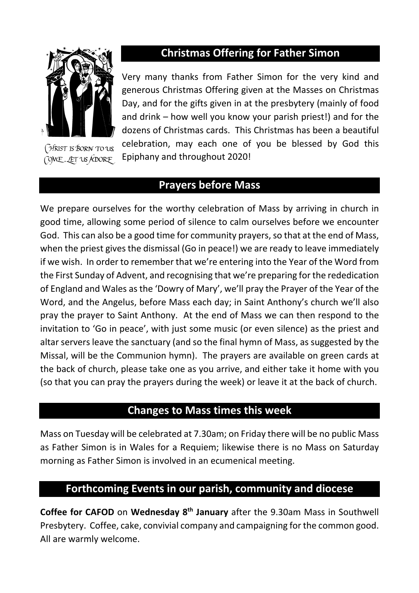

(HRIST IS BORN TO US COME, LET US ADORE

# **Christmas Offering for Father Simon**

Very many thanks from Father Simon for the very kind and generous Christmas Offering given at the Masses on Christmas Day, and for the gifts given in at the presbytery (mainly of food and drink – how well you know your parish priest!) and for the dozens of Christmas cards. This Christmas has been a beautiful celebration, may each one of you be blessed by God this Epiphany and throughout 2020!

# **Prayers before Mass**

We prepare ourselves for the worthy celebration of Mass by arriving in church in good time, allowing some period of silence to calm ourselves before we encounter God. This can also be a good time for community prayers, so that at the end of Mass, when the priest gives the dismissal (Go in peace!) we are ready to leave immediately if we wish. In order to remember that we're entering into the Year of the Word from the First Sunday of Advent, and recognising that we're preparing for the rededication of England and Wales as the 'Dowry of Mary', we'll pray the Prayer of the Year of the Word, and the Angelus, before Mass each day; in Saint Anthony's church we'll also pray the prayer to Saint Anthony. At the end of Mass we can then respond to the invitation to 'Go in peace', with just some music (or even silence) as the priest and altar servers leave the sanctuary (and so the final hymn of Mass, as suggested by the Missal, will be the Communion hymn). The prayers are available on green cards at the back of church, please take one as you arrive, and either take it home with you (so that you can pray the prayers during the week) or leave it at the back of church.

### **Changes to Mass times this week**

Mass on Tuesday will be celebrated at 7.30am; on Friday there will be no public Mass as Father Simon is in Wales for a Requiem; likewise there is no Mass on Saturday morning as Father Simon is involved in an ecumenical meeting.

### **Forthcoming Events in our parish, community and diocese**

**Coffee for CAFOD** on **Wednesday 8th January** after the 9.30am Mass in Southwell Presbytery. Coffee, cake, convivial company and campaigning for the common good. All are warmly welcome.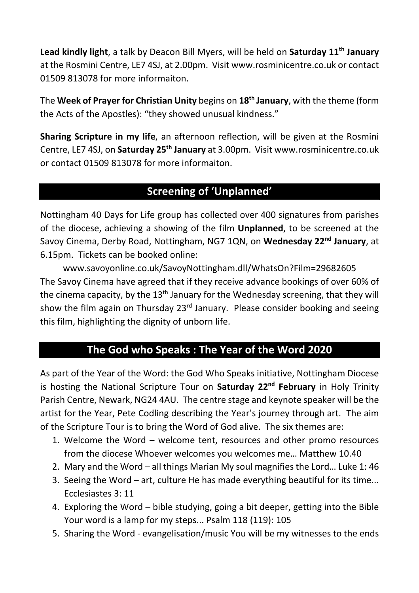**Lead kindly light**, a talk by Deacon Bill Myers, will be held on **Saturday 11th January**  at the Rosmini Centre, LE7 4SJ, at 2.00pm. Visit www.rosminicentre.co.uk or contact 01509 813078 for more informaiton.

The **Week of Prayer for Christian Unity** begins on **18th January**, with the theme (form the Acts of the Apostles): "they showed unusual kindness."

**Sharing Scripture in my life**, an afternoon reflection, will be given at the Rosmini Centre, LE7 4SJ, on **Saturday 25th January** at 3.00pm. Visit www.rosminicentre.co.uk or contact 01509 813078 for more informaiton.

# **Screening of 'Unplanned'**

Nottingham 40 Days for Life group has collected over 400 signatures from parishes of the diocese, achieving a showing of the film **Unplanned**, to be screened at the Savoy Cinema, Derby Road, Nottingham, NG7 1QN, on **Wednesday 22nd January**, at 6.15pm. Tickets can be booked online:

www.savoyonline.co.uk/SavoyNottingham.dll/WhatsOn?Film=29682605 The Savoy Cinema have agreed that if they receive advance bookings of over 60% of the cinema capacity, by the  $13<sup>th</sup>$  January for the Wednesday screening, that they will show the film again on Thursday 23<sup>rd</sup> January. Please consider booking and seeing this film, highlighting the dignity of unborn life.

# **The God who Speaks : The Year of the Word 2020**

As part of the Year of the Word: the God Who Speaks initiative, Nottingham Diocese is hosting the National Scripture Tour on **Saturday 22nd February** in Holy Trinity Parish Centre, Newark, NG24 4AU. The centre stage and keynote speaker will be the artist for the Year, Pete Codling describing the Year's journey through art. The aim of the Scripture Tour is to bring the Word of God alive. The six themes are:

- 1. Welcome the Word welcome tent, resources and other promo resources from the diocese Whoever welcomes you welcomes me… Matthew 10.40
- 2. Mary and the Word all things Marian My soul magnifies the Lord… Luke 1: 46
- 3. Seeing the Word art, culture He has made everything beautiful for its time... Ecclesiastes 3: 11
- 4. Exploring the Word bible studying, going a bit deeper, getting into the Bible Your word is a lamp for my steps... Psalm 118 (119): 105
- 5. Sharing the Word evangelisation/music You will be my witnesses to the ends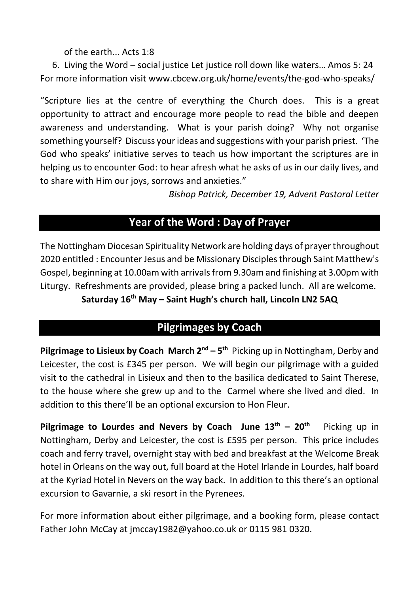of the earth... Acts 1:8

6. Living the Word – social justice Let justice roll down like waters… Amos 5: 24 For more information visit www.cbcew.org.uk/home/events/the-god-who-speaks/

"Scripture lies at the centre of everything the Church does. This is a great opportunity to attract and encourage more people to read the bible and deepen awareness and understanding. What is your parish doing? Why not organise something yourself? Discuss your ideas and suggestions with your parish priest. 'The God who speaks' initiative serves to teach us how important the scriptures are in helping us to encounter God: to hear afresh what he asks of us in our daily lives, and to share with Him our joys, sorrows and anxieties."

*Bishop Patrick, December 19, Advent Pastoral Letter*

# **Year of the Word : Day of Prayer**

The Nottingham Diocesan Spirituality Network are holding days of prayer throughout 2020 entitled : Encounter Jesus and be Missionary Disciples through Saint Matthew's Gospel, beginning at 10.00am with arrivals from 9.30am and finishing at 3.00pm with Liturgy. Refreshments are provided, please bring a packed lunch. All are welcome.

**Saturday 16th May – Saint Hugh's church hall, Lincoln LN2 5AQ**

# **Pilgrimages by Coach**

**Pilgrimage to Lisieux by Coach March 2nd – 5th** Picking up in Nottingham, Derby and Leicester, the cost is £345 per person. We will begin our pilgrimage with a guided visit to the cathedral in Lisieux and then to the basilica dedicated to Saint Therese, to the house where she grew up and to the Carmel where she lived and died. In addition to this there'll be an optional excursion to Hon Fleur.

**Pilgrimage to Lourdes and Nevers by Coach June 13th – 20th** Picking up in Nottingham, Derby and Leicester, the cost is £595 per person. This price includes coach and ferry travel, overnight stay with bed and breakfast at the Welcome Break hotel in Orleans on the way out, full board at the Hotel Irlande in Lourdes, half board at the Kyriad Hotel in Nevers on the way back. In addition to this there's an optional excursion to Gavarnie, a ski resort in the Pyrenees.

For more information about either pilgrimage, and a booking form, please contact Father John McCay at jmccay1982@yahoo.co.uk or 0115 981 0320.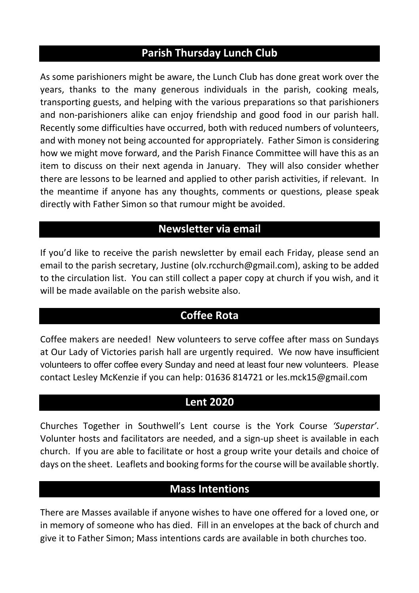### **Parish Thursday Lunch Club**

As some parishioners might be aware, the Lunch Club has done great work over the years, thanks to the many generous individuals in the parish, cooking meals, transporting guests, and helping with the various preparations so that parishioners and non-parishioners alike can enjoy friendship and good food in our parish hall. Recently some difficulties have occurred, both with reduced numbers of volunteers, and with money not being accounted for appropriately. Father Simon is considering how we might move forward, and the Parish Finance Committee will have this as an item to discuss on their next agenda in January. They will also consider whether there are lessons to be learned and applied to other parish activities, if relevant. In the meantime if anyone has any thoughts, comments or questions, please speak directly with Father Simon so that rumour might be avoided.

### **Newsletter via email**

If you'd like to receive the parish newsletter by email each Friday, please send an email to the parish secretary, Justine (olv.rcchurch@gmail.com), asking to be added to the circulation list. You can still collect a paper copy at church if you wish, and it will be made available on the parish website also.

### **Coffee Rota**

Coffee makers are needed! New volunteers to serve coffee after mass on Sundays at Our Lady of Victories parish hall are urgently required. We now have insufficient volunteers to offer coffee every Sunday and need at least four new volunteers. Please contact Lesley McKenzie if you can help: 01636 814721 or les.mck15@gmail.com

### **Lent 2020**

Churches Together in Southwell's Lent course is the York Course *'Superstar'*. Volunter hosts and facilitators are needed, and a sign-up sheet is available in each church. If you are able to facilitate or host a group write your details and choice of days on the sheet. Leaflets and booking forms for the course will be available shortly.

# **Mass Intentions**

There are Masses available if anyone wishes to have one offered for a loved one, or in memory of someone who has died. Fill in an envelopes at the back of church and give it to Father Simon; Mass intentions cards are available in both churches too.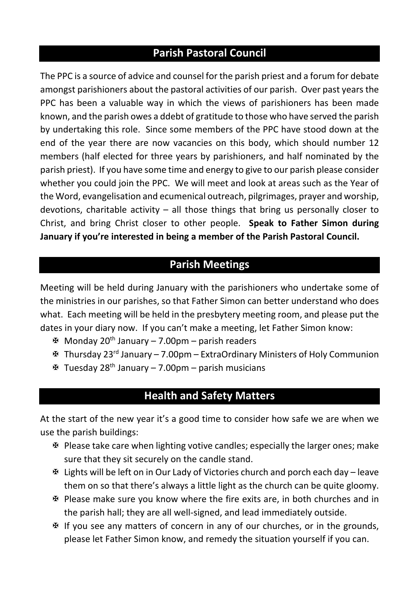# **Parish Pastoral Council**

The PPC is a source of advice and counsel for the parish priest and a forum for debate amongst parishioners about the pastoral activities of our parish. Over past years the PPC has been a valuable way in which the views of parishioners has been made known, and the parish owes a ddebt of gratitude to those who have served the parish by undertaking this role. Since some members of the PPC have stood down at the end of the year there are now vacancies on this body, which should number 12 members (half elected for three years by parishioners, and half nominated by the parish priest). If you have some time and energy to give to our parish please consider whether you could join the PPC. We will meet and look at areas such as the Year of the Word, evangelisation and ecumenical outreach, pilgrimages, prayer and worship, devotions, charitable activity – all those things that bring us personally closer to Christ, and bring Christ closer to other people. **Speak to Father Simon during January if you're interested in being a member of the Parish Pastoral Council.**

### **Parish Meetings**

Meeting will be held during January with the parishioners who undertake some of the ministries in our parishes, so that Father Simon can better understand who does what. Each meeting will be held in the presbytery meeting room, and please put the dates in your diary now. If you can't make a meeting, let Father Simon know:

- $\mathfrak{B}$  Monday 20<sup>th</sup> January 7.00pm parish readers
- X Thursday 23rd January 7.00pm ExtraOrdinary Ministers of Holy Communion
- $\mathbf{\mathcal{F}}$  Tuesday 28<sup>th</sup> January 7.00pm parish musicians

### **Health and Safety Matters**

At the start of the new year it's a good time to consider how safe we are when we use the parish buildings:

- $\mathfrak F$  Please take care when lighting votive candles; especially the larger ones; make sure that they sit securely on the candle stand.
- $\mathfrak F$  Lights will be left on in Our Lady of Victories church and porch each day leave them on so that there's always a little light as the church can be quite gloomy.
- X Please make sure you know where the fire exits are, in both churches and in the parish hall; they are all well-signed, and lead immediately outside.
- X If you see any matters of concern in any of our churches, or in the grounds, please let Father Simon know, and remedy the situation yourself if you can.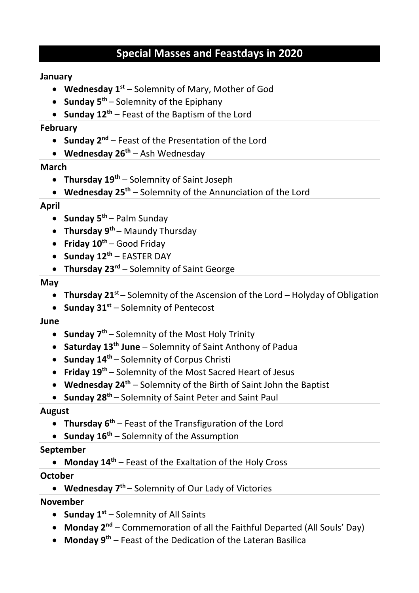# **Special Masses and Feastdays in 2020**

#### **January**

- **Wednesday 1st** Solemnity of Mary, Mother of God
- **Sunday 5<sup>th</sup>** Solemnity of the Epiphany
- **Sunday 12th** Feast of the Baptism of the Lord

#### **February**

- **Sunday 2nd** Feast of the Presentation of the Lord
- **Wednesday 26th** Ash Wednesday

#### **March**

- **Thursday 19th** Solemnity of Saint Joseph
- **Wednesday 25th** Solemnity of the Annunciation of the Lord

#### **April**

- **Sunday 5<sup>th</sup>** Palm Sunday
- **Thursday 9<sup>th</sup>** Maundy Thursday
- **Friday 10<sup>th</sup>** Good Friday
- **Sunday 12th** EASTER DAY
- **Thursday 23rd** Solemnity of Saint George

#### **May**

- **Thursday 21st** Solemnity of the Ascension of the Lord Holyday of Obligation
- **Sunday 31st** Solemnity of Pentecost

#### **June**

- **Sunday 7th** Solemnity of the Most Holy Trinity
- **Saturday 13th June** Solemnity of Saint Anthony of Padua
- **Sunday 14th** Solemnity of Corpus Christi
- **Friday 19th** Solemnity of the Most Sacred Heart of Jesus
- **Wednesday 24th** Solemnity of the Birth of Saint John the Baptist
- **Sunday 28th** Solemnity of Saint Peter and Saint Paul

#### **August**

- **Thursday 6th** Feast of the Transfiguration of the Lord
- **Sunday 16<sup>th</sup>** Solemnity of the Assumption

#### **September**

• **Monday 14th** – Feast of the Exaltation of the Holy Cross

#### **October**

• **Wednesday 7th** – Solemnity of Our Lady of Victories

#### **November**

- **Sunday 1st** Solemnity of All Saints
- **Monday 2nd** Commemoration of all the Faithful Departed (All Souls' Day)
- **Monday 9th** Feast of the Dedication of the Lateran Basilica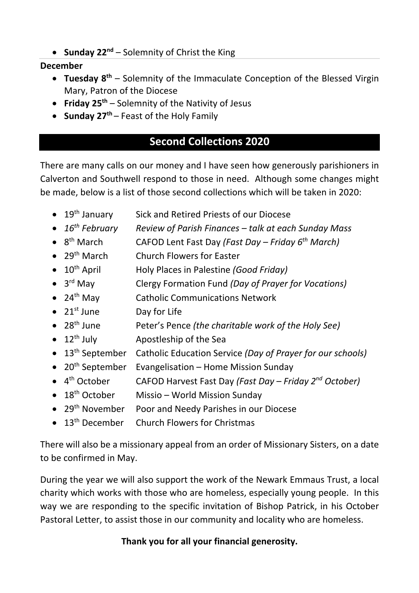• **Sunday 22nd** – Solemnity of Christ the King

#### **December**

- **Tuesday 8th** Solemnity of the Immaculate Conception of the Blessed Virgin Mary, Patron of the Diocese
- **Friday 25th** Solemnity of the Nativity of Jesus
- **Sunday 27<sup>th</sup>** Feast of the Holy Family

# **Second Collections 2020**

There are many calls on our money and I have seen how generously parishioners in Calverton and Southwell respond to those in need. Although some changes might be made, below is a list of those second collections which will be taken in 2020:

- 19<sup>th</sup> January Sick and Retired Priests of our Diocese
- *16th February Review of Parish Finances – talk at each Sunday Mass*
- 8th March CAFOD Lent Fast Day *(Fast Day – Friday 6th March)*
- 29<sup>th</sup> March Church Flowers for Easter
- 10<sup>th</sup> April Holy Places in Palestine *(Good Friday)*
- 3rd May Clergy Formation Fund *(Day of Prayer for Vocations)*
- 24<sup>th</sup> May Catholic Communications Network
- 21<sup>st</sup> June Day for Life
- 28th June Peter's Pence *(the charitable work of the Holy See)*
- $\bullet$  12<sup>th</sup> July Apostleship of the Sea
- 13th September Catholic Education Service *(Day of Prayer for our schools)*
- 20<sup>th</sup> September Evangelisation Home Mission Sunday
- 4th October CAFOD Harvest Fast Day *(Fast Day – Friday 2nd October)*
- 18<sup>th</sup> October Missio World Mission Sunday
- 29<sup>th</sup> November Poor and Needy Parishes in our Diocese
- 13<sup>th</sup> December Church Flowers for Christmas

There will also be a missionary appeal from an order of Missionary Sisters, on a date to be confirmed in May.

During the year we will also support the work of the Newark Emmaus Trust, a local charity which works with those who are homeless, especially young people. In this way we are responding to the specific invitation of Bishop Patrick, in his October Pastoral Letter, to assist those in our community and locality who are homeless.

### **Thank you for all your financial generosity.**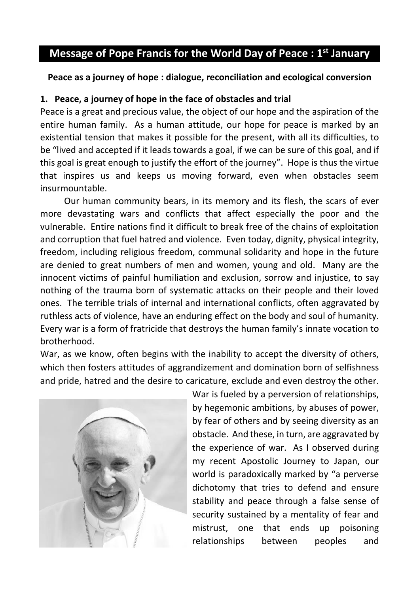# **Message of Pope Francis for the World Day of Peace : 1st January**

#### **Peace as a journey of hope : dialogue, reconciliation and ecological conversion**

#### **1. Peace, a journey of hope in the face of obstacles and trial**

Peace is a great and precious value, the object of our hope and the aspiration of the entire human family. As a human attitude, our hope for peace is marked by an existential tension that makes it possible for the present, with all its difficulties, to be "lived and accepted if it leads towards a goal, if we can be sure of this goal, and if this goal is great enough to justify the effort of the journey". Hope is thus the virtue that inspires us and keeps us moving forward, even when obstacles seem insurmountable.

Our human community bears, in its memory and its flesh, the scars of ever more devastating wars and conflicts that affect especially the poor and the vulnerable. Entire nations find it difficult to break free of the chains of exploitation and corruption that fuel hatred and violence. Even today, dignity, physical integrity, freedom, including religious freedom, communal solidarity and hope in the future are denied to great numbers of men and women, young and old. Many are the innocent victims of painful humiliation and exclusion, sorrow and injustice, to say nothing of the trauma born of systematic attacks on their people and their loved ones. The terrible trials of internal and international conflicts, often aggravated by ruthless acts of violence, have an enduring effect on the body and soul of humanity. Every war is a form of fratricide that destroys the human family's innate vocation to brotherhood.

War, as we know, often begins with the inability to accept the diversity of others, which then fosters attitudes of aggrandizement and domination born of selfishness and pride, hatred and the desire to caricature, exclude and even destroy the other.



War is fueled by a perversion of relationships, by hegemonic ambitions, by abuses of power, by fear of others and by seeing diversity as an obstacle. And these, in turn, are aggravated by the experience of war. As I observed during my recent Apostolic Journey to Japan, our world is paradoxically marked by "a perverse dichotomy that tries to defend and ensure stability and peace through a false sense of security sustained by a mentality of fear and mistrust, one that ends up poisoning relationships between peoples and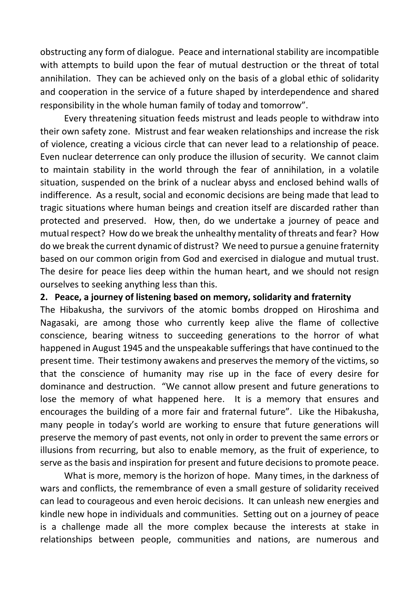obstructing any form of dialogue. Peace and international stability are incompatible with attempts to build upon the fear of mutual destruction or the threat of total annihilation. They can be achieved only on the basis of a global ethic of solidarity and cooperation in the service of a future shaped by interdependence and shared responsibility in the whole human family of today and tomorrow".

Every threatening situation feeds mistrust and leads people to withdraw into their own safety zone. Mistrust and fear weaken relationships and increase the risk of violence, creating a vicious circle that can never lead to a relationship of peace. Even nuclear deterrence can only produce the illusion of security. We cannot claim to maintain stability in the world through the fear of annihilation, in a volatile situation, suspended on the brink of a nuclear abyss and enclosed behind walls of indifference. As a result, social and economic decisions are being made that lead to tragic situations where human beings and creation itself are discarded rather than protected and preserved. How, then, do we undertake a journey of peace and mutual respect? How do we break the unhealthy mentality of threats and fear? How do we break the current dynamic of distrust? We need to pursue a genuine fraternity based on our common origin from God and exercised in dialogue and mutual trust. The desire for peace lies deep within the human heart, and we should not resign ourselves to seeking anything less than this.

#### **2. Peace, a journey of listening based on memory, solidarity and fraternity**

The Hibakusha, the survivors of the atomic bombs dropped on Hiroshima and Nagasaki, are among those who currently keep alive the flame of collective conscience, bearing witness to succeeding generations to the horror of what happened in August 1945 and the unspeakable sufferings that have continued to the present time. Their testimony awakens and preserves the memory of the victims, so that the conscience of humanity may rise up in the face of every desire for dominance and destruction. "We cannot allow present and future generations to lose the memory of what happened here. It is a memory that ensures and encourages the building of a more fair and fraternal future". Like the Hibakusha, many people in today's world are working to ensure that future generations will preserve the memory of past events, not only in order to prevent the same errors or illusions from recurring, but also to enable memory, as the fruit of experience, to serve as the basis and inspiration for present and future decisions to promote peace.

What is more, memory is the horizon of hope. Many times, in the darkness of wars and conflicts, the remembrance of even a small gesture of solidarity received can lead to courageous and even heroic decisions. It can unleash new energies and kindle new hope in individuals and communities. Setting out on a journey of peace is a challenge made all the more complex because the interests at stake in relationships between people, communities and nations, are numerous and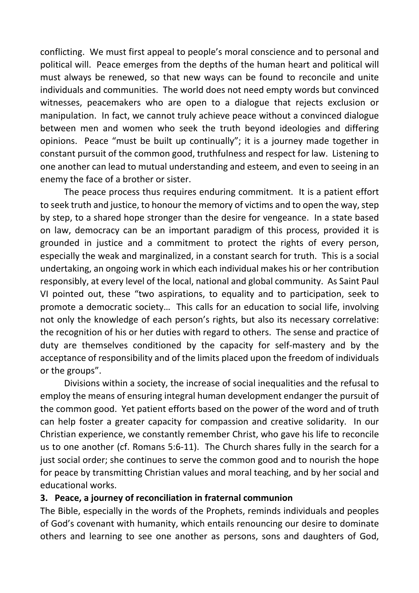conflicting. We must first appeal to people's moral conscience and to personal and political will. Peace emerges from the depths of the human heart and political will must always be renewed, so that new ways can be found to reconcile and unite individuals and communities. The world does not need empty words but convinced witnesses, peacemakers who are open to a dialogue that rejects exclusion or manipulation. In fact, we cannot truly achieve peace without a convinced dialogue between men and women who seek the truth beyond ideologies and differing opinions. Peace "must be built up continually"; it is a journey made together in constant pursuit of the common good, truthfulness and respect for law. Listening to one another can lead to mutual understanding and esteem, and even to seeing in an enemy the face of a brother or sister.

The peace process thus requires enduring commitment. It is a patient effort to seek truth and justice, to honour the memory of victims and to open the way, step by step, to a shared hope stronger than the desire for vengeance. In a state based on law, democracy can be an important paradigm of this process, provided it is grounded in justice and a commitment to protect the rights of every person, especially the weak and marginalized, in a constant search for truth. This is a social undertaking, an ongoing work in which each individual makes his or her contribution responsibly, at every level of the local, national and global community. As Saint Paul VI pointed out, these "two aspirations, to equality and to participation, seek to promote a democratic society… This calls for an education to social life, involving not only the knowledge of each person's rights, but also its necessary correlative: the recognition of his or her duties with regard to others. The sense and practice of duty are themselves conditioned by the capacity for self-mastery and by the acceptance of responsibility and of the limits placed upon the freedom of individuals or the groups".

Divisions within a society, the increase of social inequalities and the refusal to employ the means of ensuring integral human development endanger the pursuit of the common good. Yet patient efforts based on the power of the word and of truth can help foster a greater capacity for compassion and creative solidarity. In our Christian experience, we constantly remember Christ, who gave his life to reconcile us to one another (cf. Romans 5:6-11). The Church shares fully in the search for a just social order; she continues to serve the common good and to nourish the hope for peace by transmitting Christian values and moral teaching, and by her social and educational works.

#### **3. Peace, a journey of reconciliation in fraternal communion**

The Bible, especially in the words of the Prophets, reminds individuals and peoples of God's covenant with humanity, which entails renouncing our desire to dominate others and learning to see one another as persons, sons and daughters of God,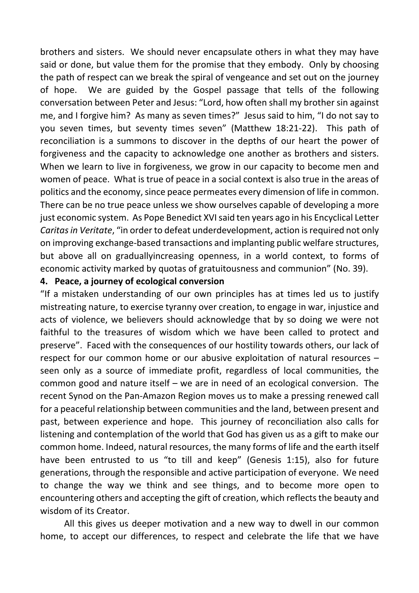brothers and sisters. We should never encapsulate others in what they may have said or done, but value them for the promise that they embody. Only by choosing the path of respect can we break the spiral of vengeance and set out on the journey of hope. We are guided by the Gospel passage that tells of the following conversation between Peter and Jesus: "Lord, how often shall my brother sin against me, and I forgive him? As many as seven times?" Jesus said to him, "I do not say to you seven times, but seventy times seven" (Matthew 18:21-22). This path of reconciliation is a summons to discover in the depths of our heart the power of forgiveness and the capacity to acknowledge one another as brothers and sisters. When we learn to live in forgiveness, we grow in our capacity to become men and women of peace. What is true of peace in a social context is also true in the areas of politics and the economy, since peace permeates every dimension of life in common. There can be no true peace unless we show ourselves capable of developing a more just economic system. As Pope Benedict XVI said ten years ago in his Encyclical Letter *Caritas in Veritate*, "in order to defeat underdevelopment, action is required not only on improving exchange-based transactions and implanting public welfare structures, but above all on graduallyincreasing openness, in a world context, to forms of economic activity marked by quotas of gratuitousness and communion" (No. 39).

#### **4. Peace, a journey of ecological conversion**

"If a mistaken understanding of our own principles has at times led us to justify mistreating nature, to exercise tyranny over creation, to engage in war, injustice and acts of violence, we believers should acknowledge that by so doing we were not faithful to the treasures of wisdom which we have been called to protect and preserve". Faced with the consequences of our hostility towards others, our lack of respect for our common home or our abusive exploitation of natural resources – seen only as a source of immediate profit, regardless of local communities, the common good and nature itself – we are in need of an ecological conversion. The recent Synod on the Pan-Amazon Region moves us to make a pressing renewed call for a peaceful relationship between communities and the land, between present and past, between experience and hope. This journey of reconciliation also calls for listening and contemplation of the world that God has given us as a gift to make our common home. Indeed, natural resources, the many forms of life and the earth itself have been entrusted to us "to till and keep" (Genesis 1:15), also for future generations, through the responsible and active participation of everyone. We need to change the way we think and see things, and to become more open to encountering others and accepting the gift of creation, which reflects the beauty and wisdom of its Creator.

All this gives us deeper motivation and a new way to dwell in our common home, to accept our differences, to respect and celebrate the life that we have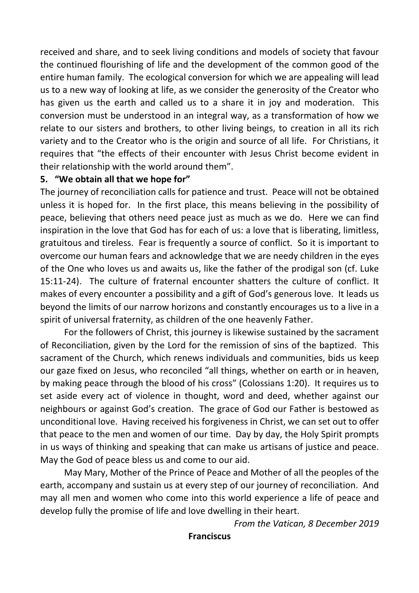received and share, and to seek living conditions and models of society that favour the continued flourishing of life and the development of the common good of the entire human family. The ecological conversion for which we are appealing will lead us to a new way of looking at life, as we consider the generosity of the Creator who has given us the earth and called us to a share it in joy and moderation. This conversion must be understood in an integral way, as a transformation of how we relate to our sisters and brothers, to other living beings, to creation in all its rich variety and to the Creator who is the origin and source of all life. For Christians, it requires that "the effects of their encounter with Jesus Christ become evident in their relationship with the world around them".

#### **5. "We obtain all that we hope for"**

The journey of reconciliation calls for patience and trust. Peace will not be obtained unless it is hoped for. In the first place, this means believing in the possibility of peace, believing that others need peace just as much as we do. Here we can find inspiration in the love that God has for each of us: a love that is liberating, limitless, gratuitous and tireless. Fear is frequently a source of conflict. So it is important to overcome our human fears and acknowledge that we are needy children in the eyes of the One who loves us and awaits us, like the father of the prodigal son (cf. Luke 15:11-24). The culture of fraternal encounter shatters the culture of conflict. It makes of every encounter a possibility and a gift of God's generous love. It leads us beyond the limits of our narrow horizons and constantly encourages us to a live in a spirit of universal fraternity, as children of the one heavenly Father.

For the followers of Christ, this journey is likewise sustained by the sacrament of Reconciliation, given by the Lord for the remission of sins of the baptized. This sacrament of the Church, which renews individuals and communities, bids us keep our gaze fixed on Jesus, who reconciled "all things, whether on earth or in heaven, by making peace through the blood of his cross" (Colossians 1:20). It requires us to set aside every act of violence in thought, word and deed, whether against our neighbours or against God's creation. The grace of God our Father is bestowed as unconditional love. Having received his forgiveness in Christ, we can set out to offer that peace to the men and women of our time. Day by day, the Holy Spirit prompts in us ways of thinking and speaking that can make us artisans of justice and peace. May the God of peace bless us and come to our aid.

May Mary, Mother of the Prince of Peace and Mother of all the peoples of the earth, accompany and sustain us at every step of our journey of reconciliation. And may all men and women who come into this world experience a life of peace and develop fully the promise of life and love dwelling in their heart.

*From the Vatican, 8 December 2019*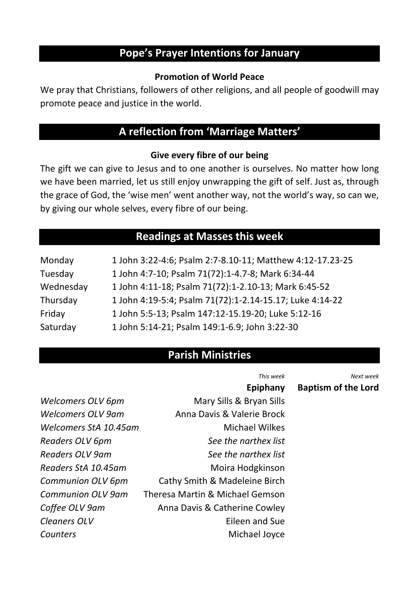# **Pope's Prayer Intentions for January**

#### **Promotion of World Peace**

We pray that Christians, followers of other religions, and all people of goodwill may promote peace and justice in the world.

# **A reflection from 'Marriage Matters'**

#### **Give every fibre of our being**

The gift we can give to Jesus and to one another is ourselves. No matter how long we have been married, let us still enjoy unwrapping the gift of self. Just as, through the grace of God, the 'wise men' went another way, not the world's way, so can we, by giving our whole selves, every fibre of our being.

### **Readings at Masses this week**

| Monday    | 1 John 3:22-4:6; Psalm 2:7-8.10-11; Matthew 4:12-17.23-25 |
|-----------|-----------------------------------------------------------|
| Tuesday   | 1 John 4:7-10; Psalm 71(72):1-4.7-8; Mark 6:34-44         |
| Wednesday | 1 John 4:11-18; Psalm 71(72):1-2.10-13; Mark 6:45-52      |
| Thursday  | 1 John 4:19-5:4; Psalm 71(72):1-2.14-15.17; Luke 4:14-22  |
| Friday    | 1 John 5:5-13; Psalm 147:12-15.19-20; Luke 5:12-16        |
| Saturday  | 1 John 5:14-21; Psalm 149:1-6.9; John 3:22-30             |

# **Parish Ministries**

|                       | This week                       | Next week                  |
|-----------------------|---------------------------------|----------------------------|
|                       | Epiphany                        | <b>Baptism of the Lord</b> |
| Welcomers OLV 6pm     | Mary Sills & Bryan Sills        |                            |
| Welcomers OLV 9am     | Anna Davis & Valerie Brock      |                            |
| Welcomers StA 10.45am | <b>Michael Wilkes</b>           |                            |
| Readers OLV 6pm       | See the narthex list            |                            |
| Readers OLV 9am       | See the narthex list            |                            |
| Readers StA 10.45am   | Moira Hodgkinson                |                            |
| Communion OLV 6pm     | Cathy Smith & Madeleine Birch   |                            |
| Communion OI V 9am    | Theresa Martin & Michael Gemson |                            |
| Coffee OLV 9am        | Anna Davis & Catherine Cowley   |                            |
| Cleaners OLV          | Eileen and Sue                  |                            |
| Counters              | Michael Joyce                   |                            |